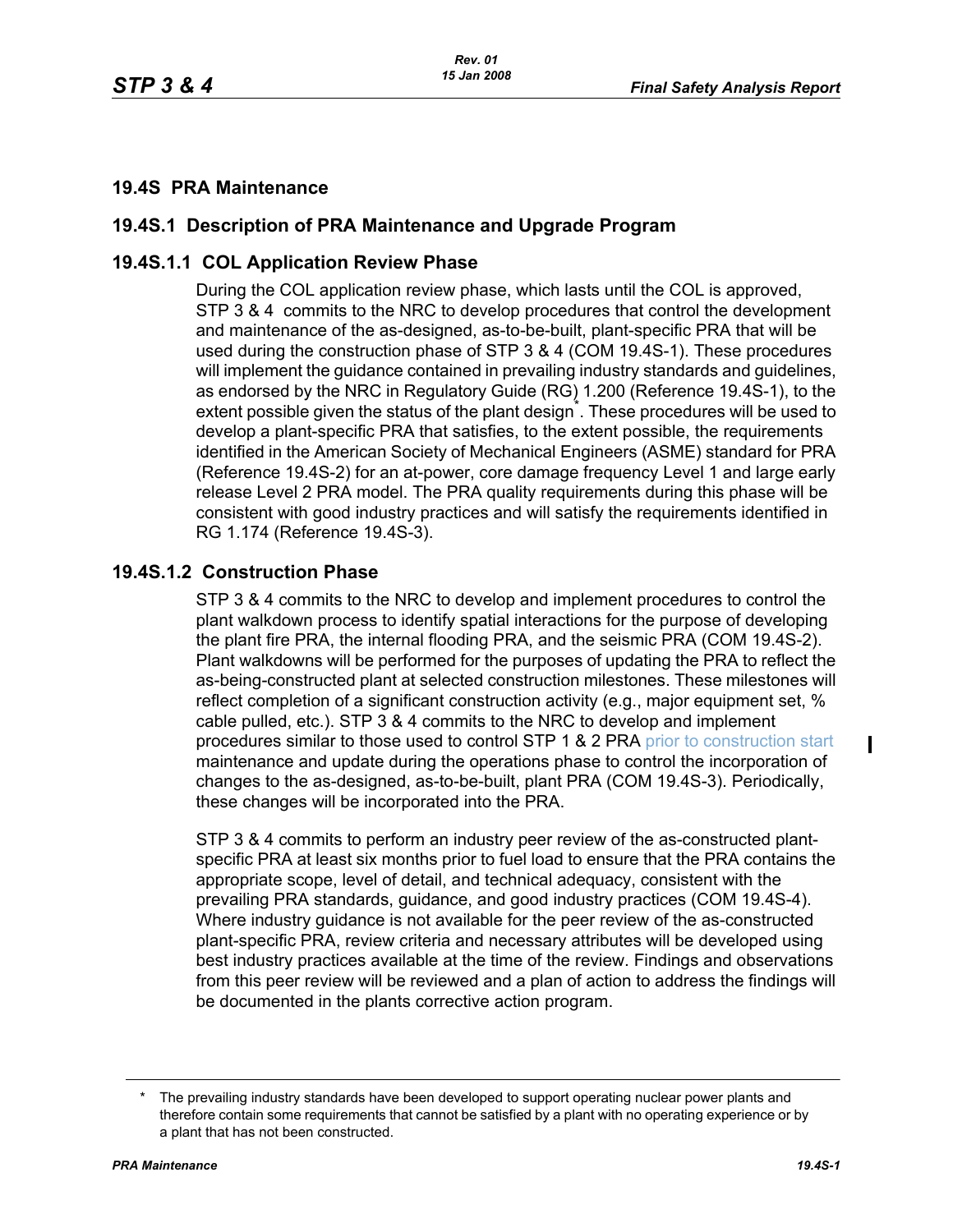## **19.4S PRA Maintenance**

# **19.4S.1 Description of PRA Maintenance and Upgrade Program**

# **19.4S.1.1 COL Application Review Phase**

During the COL application review phase, which lasts until the COL is approved, STP 3 & 4 commits to the NRC to develop procedures that control the development and maintenance of the as-designed, as-to-be-built, plant-specific PRA that will be used during the construction phase of STP 3 & 4 (COM 19.4S-1). These procedures will implement the guidance contained in prevailing industry standards and guidelines, as endorsed by the NRC in Regulatory Guide (RG) 1.200 (Reference 19.4S-1), to the extent possible given the status of the plant design<sup>\*</sup>. These procedures will be used to develop a plant-specific PRA that satisfies, to the extent possible, the requirements identified in the American Society of Mechanical Engineers (ASME) standard for PRA (Reference 19.4S-2) for an at-power, core damage frequency Level 1 and large early release Level 2 PRA model. The PRA quality requirements during this phase will be consistent with good industry practices and will satisfy the requirements identified in RG 1.174 (Reference 19.4S-3).

## **19.4S.1.2 Construction Phase**

STP 3 & 4 commits to the NRC to develop and implement procedures to control the plant walkdown process to identify spatial interactions for the purpose of developing the plant fire PRA, the internal flooding PRA, and the seismic PRA (COM 19.4S-2). Plant walkdowns will be performed for the purposes of updating the PRA to reflect the as-being-constructed plant at selected construction milestones. These milestones will reflect completion of a significant construction activity (e.g., major equipment set, % cable pulled, etc.). STP 3 & 4 commits to the NRC to develop and implement procedures similar to those used to control STP 1 & 2 PRA prior to construction start maintenance and update during the operations phase to control the incorporation of changes to the as-designed, as-to-be-built, plant PRA (COM 19.4S-3). Periodically, these changes will be incorporated into the PRA.

STP 3 & 4 commits to perform an industry peer review of the as-constructed plantspecific PRA at least six months prior to fuel load to ensure that the PRA contains the appropriate scope, level of detail, and technical adequacy, consistent with the prevailing PRA standards, guidance, and good industry practices (COM 19.4S-4). Where industry guidance is not available for the peer review of the as-constructed plant-specific PRA, review criteria and necessary attributes will be developed using best industry practices available at the time of the review. Findings and observations from this peer review will be reviewed and a plan of action to address the findings will be documented in the plants corrective action program.

 $\blacksquare$ 

The prevailing industry standards have been developed to support operating nuclear power plants and therefore contain some requirements that cannot be satisfied by a plant with no operating experience or by a plant that has not been constructed.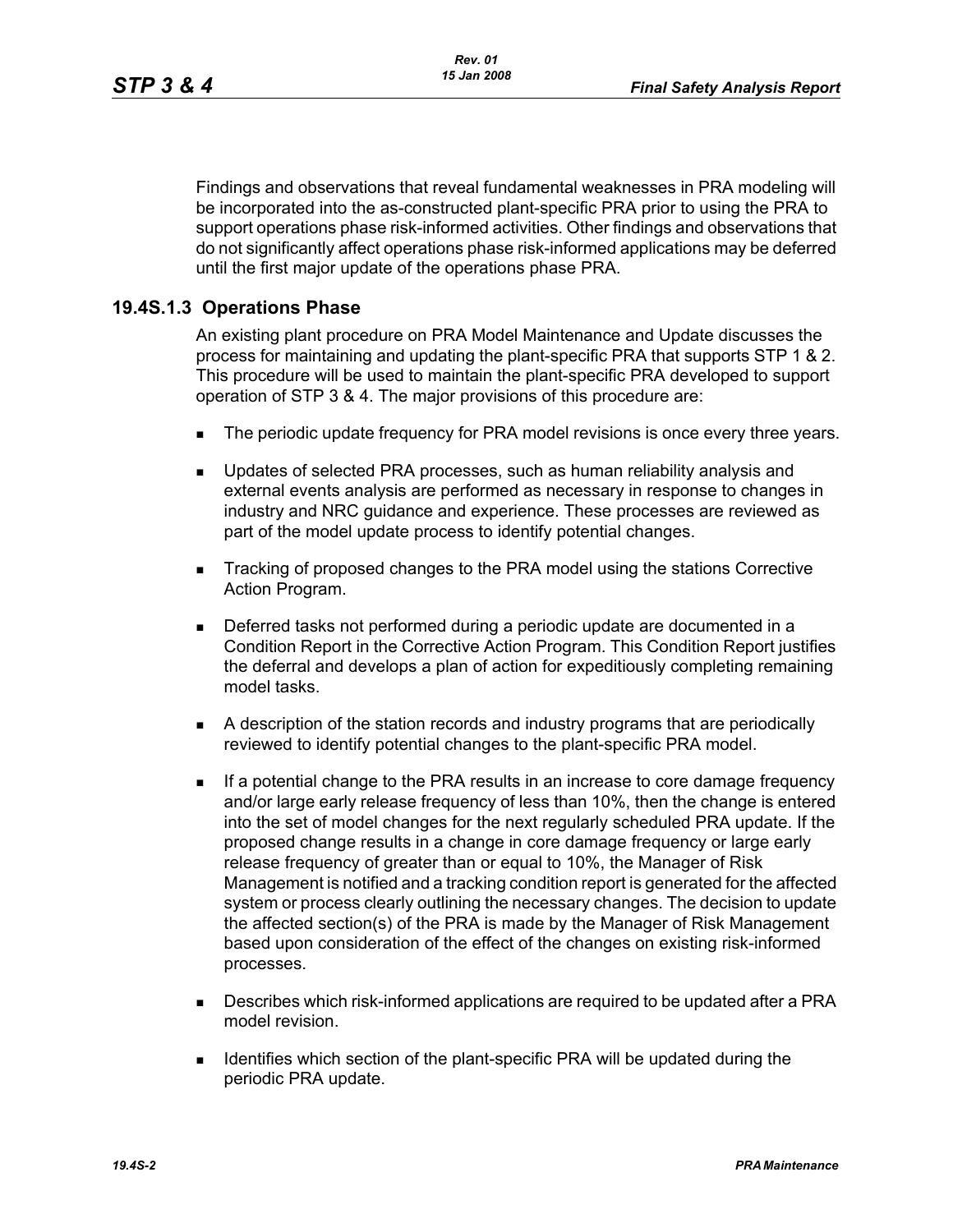Findings and observations that reveal fundamental weaknesses in PRA modeling will be incorporated into the as-constructed plant-specific PRA prior to using the PRA to support operations phase risk-informed activities. Other findings and observations that do not significantly affect operations phase risk-informed applications may be deferred until the first major update of the operations phase PRA.

# **19.4S.1.3 Operations Phase**

An existing plant procedure on PRA Model Maintenance and Update discusses the process for maintaining and updating the plant-specific PRA that supports STP 1 & 2. This procedure will be used to maintain the plant-specific PRA developed to support operation of STP 3 & 4. The major provisions of this procedure are:

- The periodic update frequency for PRA model revisions is once every three years.
- **Updates of selected PRA processes, such as human reliability analysis and** external events analysis are performed as necessary in response to changes in industry and NRC guidance and experience. These processes are reviewed as part of the model update process to identify potential changes.
- Tracking of proposed changes to the PRA model using the stations Corrective Action Program.
- Deferred tasks not performed during a periodic update are documented in a Condition Report in the Corrective Action Program. This Condition Report justifies the deferral and develops a plan of action for expeditiously completing remaining model tasks.
- A description of the station records and industry programs that are periodically reviewed to identify potential changes to the plant-specific PRA model.
- **If a potential change to the PRA results in an increase to core damage frequency** and/or large early release frequency of less than 10%, then the change is entered into the set of model changes for the next regularly scheduled PRA update. If the proposed change results in a change in core damage frequency or large early release frequency of greater than or equal to 10%, the Manager of Risk Management is notified and a tracking condition report is generated for the affected system or process clearly outlining the necessary changes. The decision to update the affected section(s) of the PRA is made by the Manager of Risk Management based upon consideration of the effect of the changes on existing risk-informed processes.
- **Describes which risk-informed applications are required to be updated after a PRA** model revision.
- **IDENTIFIELD IDENTIFIELD** Section of the plant-specific PRA will be updated during the periodic PRA update.